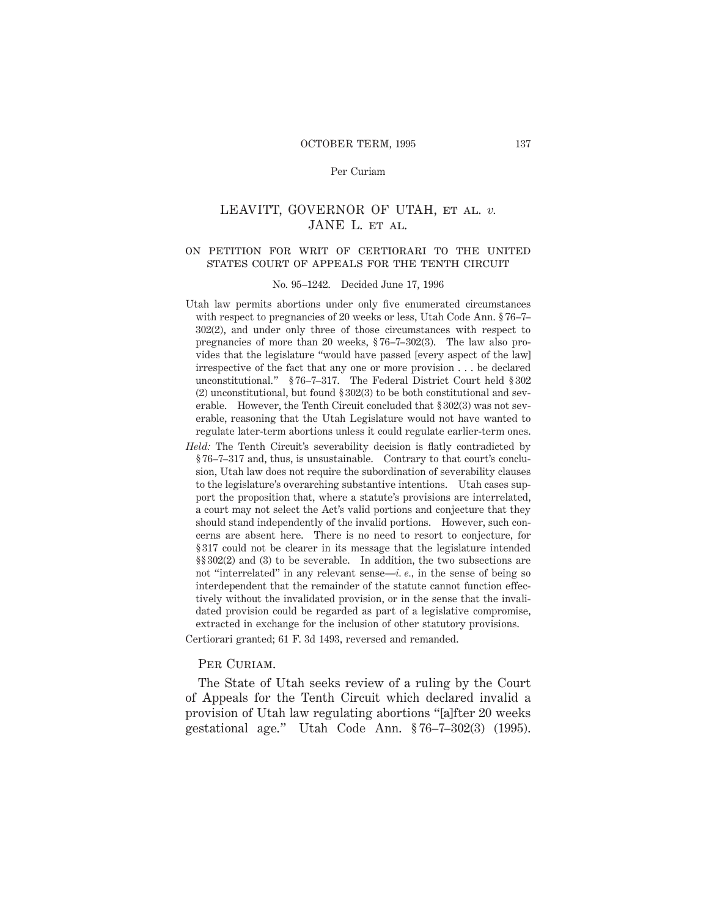# LEAVITT, GOVERNOR OF UTAH, et al. *v.* JANE L. ET AL.

#### on petition for writ of certiorari to the unitedstates court of appeals for the tenth circuit

#### No. 95–1242. Decided June 17, 1996

- Utah law permits abortions under only five enumerated circumstances with respect to pregnancies of 20 weeks or less, Utah Code Ann. § 76–7– 302(2), and under only three of those circumstances with respect to pregnancies of more than 20 weeks, § 76–7–302(3). The law also provides that the legislature "would have passed [every aspect of the law] irrespective of the fact that any one or more provision . . . be declared unconstitutional." § 76–7–317. The Federal District Court held § 302 (2) unconstitutional, but found § 302(3) to be both constitutional and severable. However, the Tenth Circuit concluded that § 302(3) was not severable, reasoning that the Utah Legislature would not have wanted to regulate later-term abortions unless it could regulate earlier-term ones.
- *Held:* The Tenth Circuit's severability decision is flatly contradicted by § 76–7–317 and, thus, is unsustainable. Contrary to that court's conclusion, Utah law does not require the subordination of severability clauses to the legislature's overarching substantive intentions. Utah cases support the proposition that, where a statute's provisions are interrelated, a court may not select the Act's valid portions and conjecture that they should stand independently of the invalid portions. However, such concerns are absent here. There is no need to resort to conjecture, for § 317 could not be clearer in its message that the legislature intended §§ 302(2) and (3) to be severable. In addition, the two subsections are not "interrelated" in any relevant sense—*i. e.,* in the sense of being so interdependent that the remainder of the statute cannot function effectively without the invalidated provision, or in the sense that the invalidated provision could be regarded as part of a legislative compromise, extracted in exchange for the inclusion of other statutory provisions.

Certiorari granted; 61 F. 3d 1493, reversed and remanded.

## PER CURIAM.

The State of Utah seeks review of a ruling by the Court of Appeals for the Tenth Circuit which declared invalid a provision of Utah law regulating abortions "[a]fter 20 weeks gestational age." Utah Code Ann. § 76–7–302(3) (1995).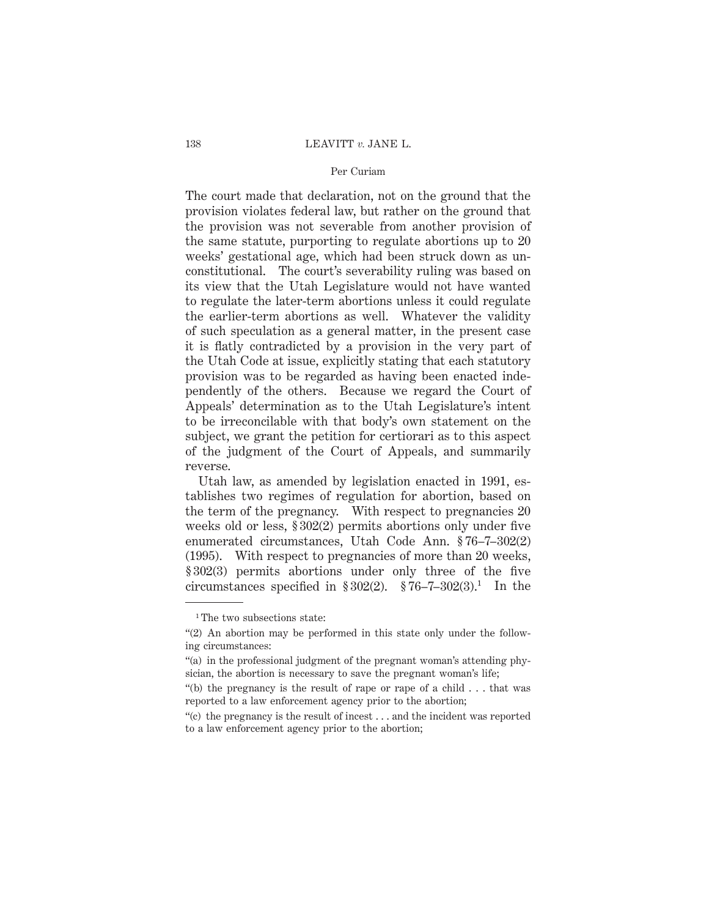#### 138 LEAVITT *v.* JANE L.

## Per Curiam

The court made that declaration, not on the ground that the provision violates federal law, but rather on the ground that the provision was not severable from another provision of the same statute, purporting to regulate abortions up to 20 weeks' gestational age, which had been struck down as unconstitutional. The court's severability ruling was based on its view that the Utah Legislature would not have wanted to regulate the later-term abortions unless it could regulate the earlier-term abortions as well. Whatever the validity of such speculation as a general matter, in the present case it is flatly contradicted by a provision in the very part of the Utah Code at issue, explicitly stating that each statutory provision was to be regarded as having been enacted independently of the others. Because we regard the Court of Appeals' determination as to the Utah Legislature's intent to be irreconcilable with that body's own statement on the subject, we grant the petition for certiorari as to this aspect of the judgment of the Court of Appeals, and summarily reverse.

Utah law, as amended by legislation enacted in 1991, establishes two regimes of regulation for abortion, based on the term of the pregnancy. With respect to pregnancies 20 weeks old or less, § 302(2) permits abortions only under five enumerated circumstances, Utah Code Ann. § 76–7–302(2) (1995). With respect to pregnancies of more than 20 weeks, § 302(3) permits abortions under only three of the five circumstances specified in  $$302(2)$ .  $$76-7-302(3)$ .<sup>1</sup> In the

<sup>&</sup>lt;sup>1</sup>The two subsections state:

<sup>&</sup>quot;(2) An abortion may be performed in this state only under the following circumstances:

<sup>&</sup>quot;(a) in the professional judgment of the pregnant woman's attending physician, the abortion is necessary to save the pregnant woman's life;

<sup>&</sup>quot;(b) the pregnancy is the result of rape or rape of a child . . . that was reported to a law enforcement agency prior to the abortion;

<sup>&</sup>quot;(c) the pregnancy is the result of incest  $\dots$  and the incident was reported to a law enforcement agency prior to the abortion;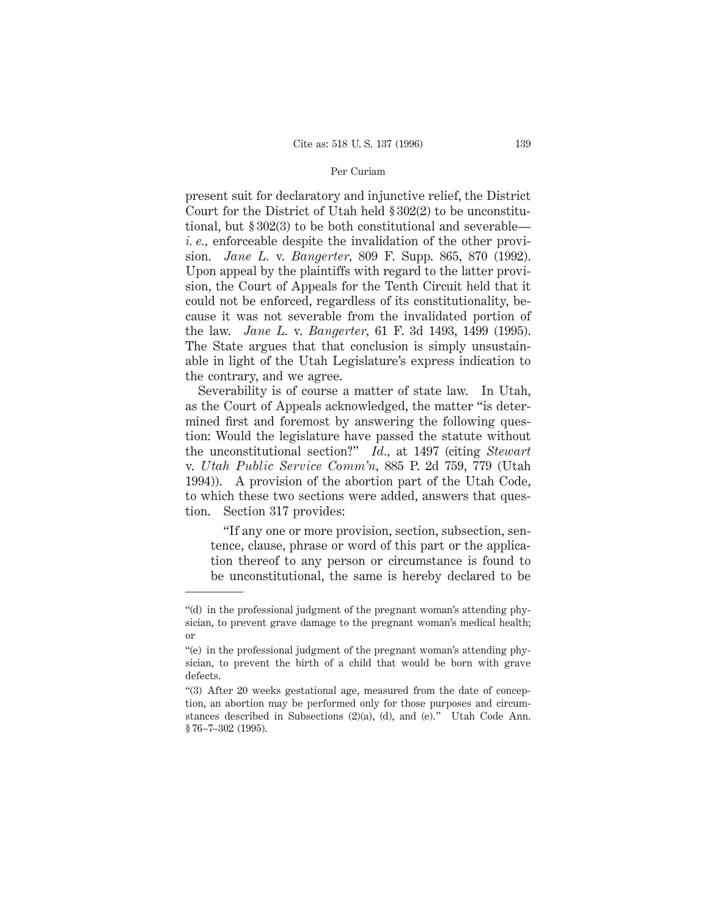present suit for declaratory and injunctive relief, the District Court for the District of Utah held § 302(2) to be unconstitutional, but § 302(3) to be both constitutional and severable *i. e.,* enforceable despite the invalidation of the other provision. *Jane L.* v. *Bangerter,* 809 F. Supp. 865, 870 (1992). Upon appeal by the plaintiffs with regard to the latter provision, the Court of Appeals for the Tenth Circuit held that it could not be enforced, regardless of its constitutionality, because it was not severable from the invalidated portion of the law. *Jane L.* v. *Bangerter,* 61 F. 3d 1493, 1499 (1995). The State argues that that conclusion is simply unsustainable in light of the Utah Legislature's express indication to the contrary, and we agree.

Severability is of course a matter of state law. In Utah, as the Court of Appeals acknowledged, the matter "is determined first and foremost by answering the following question: Would the legislature have passed the statute without the unconstitutional section?" *Id.,* at 1497 (citing *Stewart* v. *Utah Public Service Comm'n,* 885 P. 2d 759, 779 (Utah 1994)). A provision of the abortion part of the Utah Code, to which these two sections were added, answers that question. Section 317 provides:

"If any one or more provision, section, subsection, sentence, clause, phrase or word of this part or the application thereof to any person or circumstance is found to be unconstitutional, the same is hereby declared to be

<sup>&</sup>quot;(d) in the professional judgment of the pregnant woman's attending physician, to prevent grave damage to the pregnant woman's medical health; or

<sup>&</sup>quot;(e) in the professional judgment of the pregnant woman's attending physician, to prevent the birth of a child that would be born with grave defects.

<sup>&</sup>quot;(3) After 20 weeks gestational age, measured from the date of conception, an abortion may be performed only for those purposes and circumstances described in Subsections (2)(a), (d), and (e)." Utah Code Ann. § 76-7-302 (1995).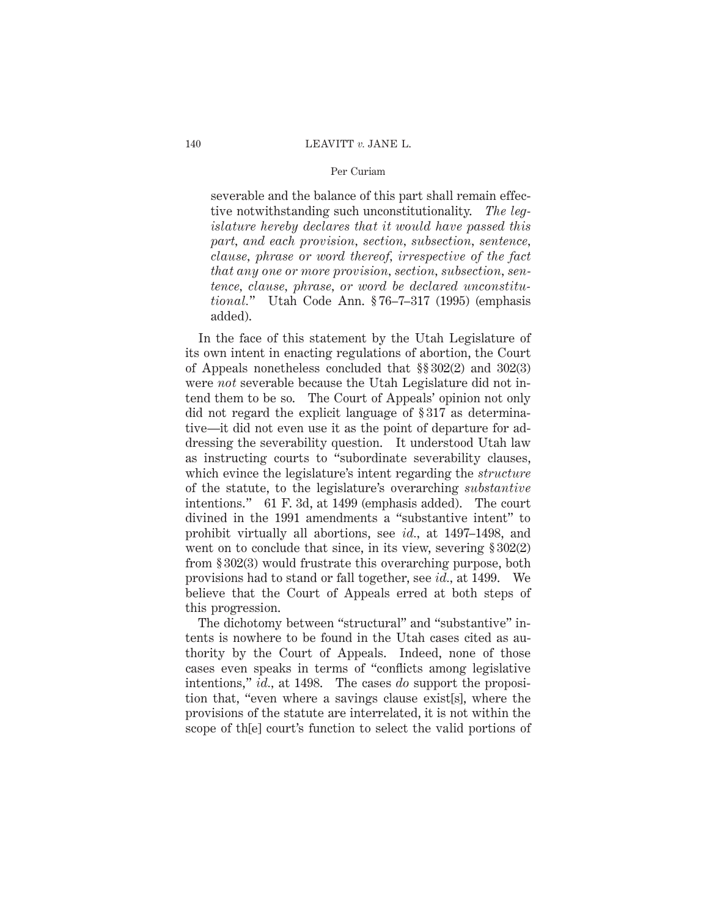severable and the balance of this part shall remain effective notwithstanding such unconstitutionality. *The legislature hereby declares that it would have passed this part, and each provision, section, subsection, sentence, clause, phrase or word thereof, irrespective of the fact that any one or more provision, section, subsection, sentence, clause, phrase, or word be declared unconstitutional.*" Utah Code Ann. § 76–7–317 (1995) (emphasis added).

In the face of this statement by the Utah Legislature of its own intent in enacting regulations of abortion, the Court of Appeals nonetheless concluded that §§ 302(2) and 302(3) were *not* severable because the Utah Legislature did not intend them to be so. The Court of Appeals' opinion not only did not regard the explicit language of § 317 as determinative—it did not even use it as the point of departure for addressing the severability question. It understood Utah law as instructing courts to "subordinate severability clauses, which evince the legislature's intent regarding the *structure* of the statute, to the legislature's overarching *substantive* intentions." 61 F. 3d, at 1499 (emphasis added). The court divined in the 1991 amendments a "substantive intent" to prohibit virtually all abortions, see *id.,* at 1497–1498, and went on to conclude that since, in its view, severing  $\S 302(2)$ from § 302(3) would frustrate this overarching purpose, both provisions had to stand or fall together, see *id.,* at 1499. We believe that the Court of Appeals erred at both steps of this progression.

The dichotomy between "structural" and "substantive" intents is nowhere to be found in the Utah cases cited as authority by the Court of Appeals. Indeed, none of those cases even speaks in terms of "conflicts among legislative intentions," *id.,* at 1498. The cases *do* support the proposition that, "even where a savings clause exist[s], where the provisions of the statute are interrelated, it is not within the scope of th[e] court's function to select the valid portions of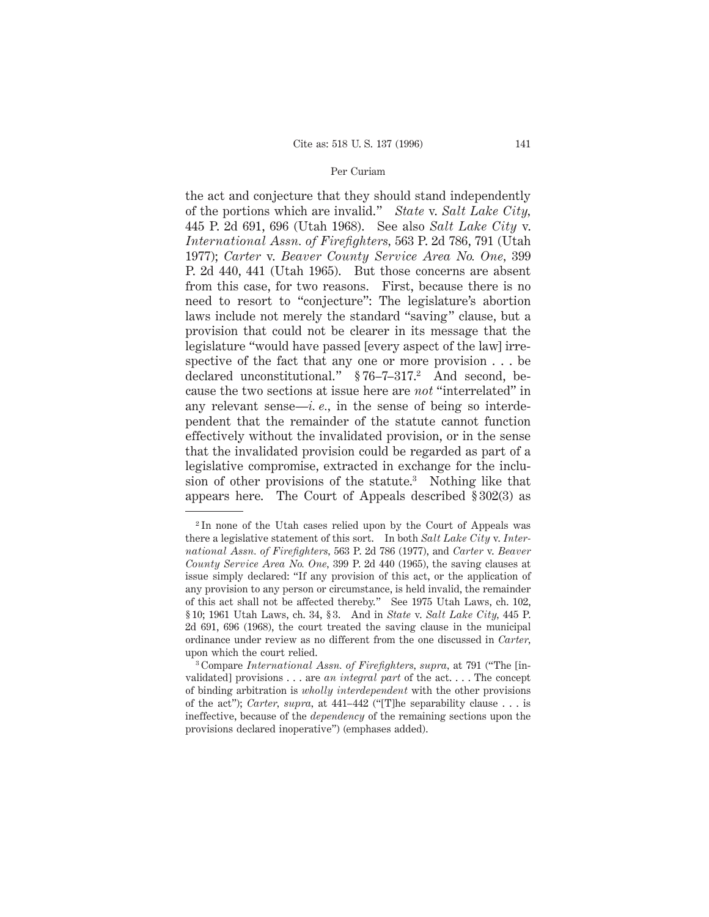the act and conjecture that they should stand independently of the portions which are invalid." *State* v. *Salt Lake City,* 445 P. 2d 691, 696 (Utah 1968). See also *Salt Lake City* v. *International Assn. of Firefighters,* 563 P. 2d 786, 791 (Utah 1977); *Carter* v. *Beaver County Service Area No. One,* 399 P. 2d 440, 441 (Utah 1965). But those concerns are absent from this case, for two reasons. First, because there is no need to resort to "conjecture": The legislature's abortion laws include not merely the standard "saving" clause, but a provision that could not be clearer in its message that the legislature "would have passed [every aspect of the law] irrespective of the fact that any one or more provision . . . be declared unconstitutional." §76-7-317.<sup>2</sup> And second, because the two sections at issue here are *not* "interrelated" in any relevant sense—*i. e.,* in the sense of being so interdependent that the remainder of the statute cannot function effectively without the invalidated provision, or in the sense that the invalidated provision could be regarded as part of a legislative compromise, extracted in exchange for the inclusion of other provisions of the statute.<sup>3</sup> Nothing like that appears here. The Court of Appeals described § 302(3) as

<sup>2</sup> In none of the Utah cases relied upon by the Court of Appeals was there a legislative statement of this sort. In both *Salt Lake City* v. *International Assn. of Firefighters,* 563 P. 2d 786 (1977), and *Carter* v. *Beaver County Service Area No. One,* 399 P. 2d 440 (1965), the saving clauses at issue simply declared: "If any provision of this act, or the application of any provision to any person or circumstance, is held invalid, the remainder of this act shall not be affected thereby." See 1975 Utah Laws, ch. 102, § 10; 1961 Utah Laws, ch. 34, § 3. And in *State* v. *Salt Lake City,* 445 P. 2d 691, 696 (1968), the court treated the saving clause in the municipal ordinance under review as no different from the one discussed in *Carter,* upon which the court relied.

<sup>3</sup> Compare *International Assn. of Firefighters, supra,* at 791 ("The [invalidated] provisions . . . are *an integral part* of the act. . . . The concept of binding arbitration is *wholly interdependent* with the other provisions of the act"); *Carter, supra,* at 441–442 ("[T]he separability clause . . . is ineffective, because of the *dependency* of the remaining sections upon the provisions declared inoperative") (emphases added).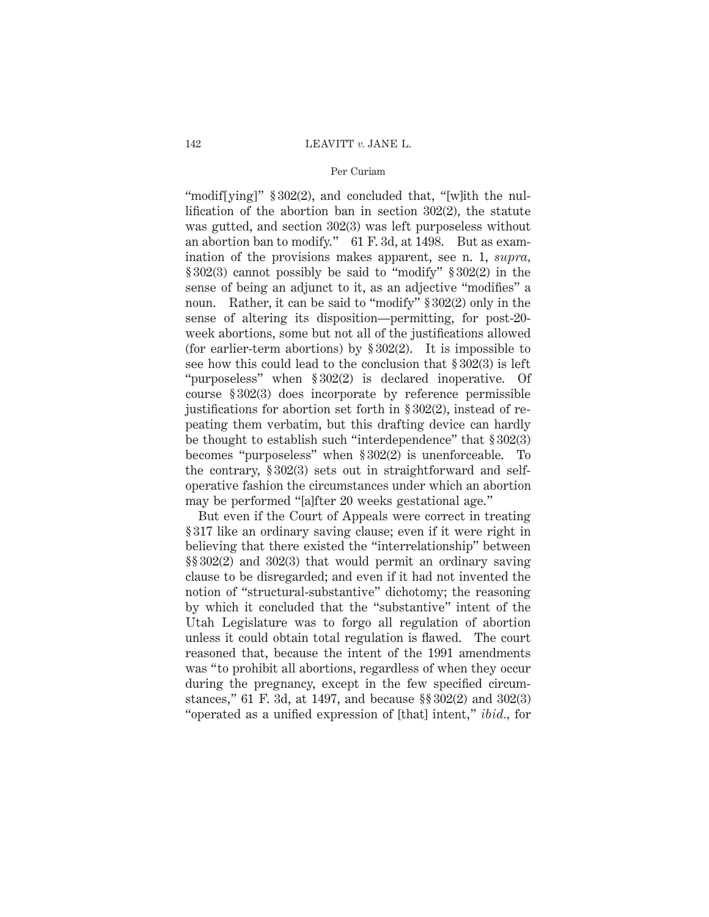"modif[ying]" § 302(2), and concluded that, "[w]ith the nullification of the abortion ban in section 302(2), the statute was gutted, and section 302(3) was left purposeless without an abortion ban to modify." 61 F. 3d, at 1498. But as examination of the provisions makes apparent, see n. 1, *supra,* § 302(3) cannot possibly be said to "modify" § 302(2) in the sense of being an adjunct to it, as an adjective "modifies" a noun. Rather, it can be said to "modify" § 302(2) only in the sense of altering its disposition—permitting, for post-20 week abortions, some but not all of the justifications allowed (for earlier-term abortions) by  $\S 302(2)$ . It is impossible to see how this could lead to the conclusion that § 302(3) is left "purposeless" when § 302(2) is declared inoperative. Of course § 302(3) does incorporate by reference permissible justifications for abortion set forth in § 302(2), instead of repeating them verbatim, but this drafting device can hardly be thought to establish such "interdependence" that § 302(3) becomes "purposeless" when § 302(2) is unenforceable. To the contrary, § 302(3) sets out in straightforward and selfoperative fashion the circumstances under which an abortion may be performed "[a]fter 20 weeks gestational age."

But even if the Court of Appeals were correct in treating § 317 like an ordinary saving clause; even if it were right in believing that there existed the "interrelationship" between §§ 302(2) and 302(3) that would permit an ordinary saving clause to be disregarded; and even if it had not invented the notion of "structural-substantive" dichotomy; the reasoning by which it concluded that the "substantive" intent of the Utah Legislature was to forgo all regulation of abortion unless it could obtain total regulation is flawed. The court reasoned that, because the intent of the 1991 amendments was "to prohibit all abortions, regardless of when they occur during the pregnancy, except in the few specified circumstances," 61 F. 3d, at 1497, and because §§ 302(2) and 302(3) "operated as a unified expression of [that] intent," *ibid.,* for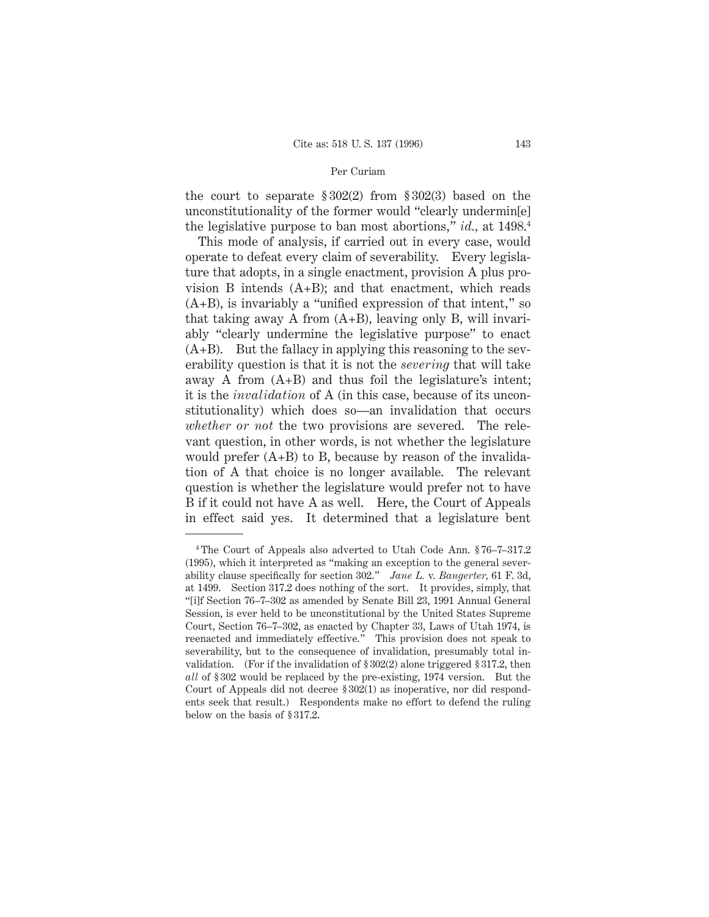the court to separate § 302(2) from § 302(3) based on the unconstitutionality of the former would "clearly undermin[e] the legislative purpose to ban most abortions," *id.,* at 1498.4

This mode of analysis, if carried out in every case, would operate to defeat every claim of severability. Every legislature that adopts, in a single enactment, provision A plus provision B intends  $(A+B)$ ; and that enactment, which reads  $(A+B)$ , is invariably a "unified expression of that intent," so that taking away A from (A+B), leaving only B, will invariably "clearly undermine the legislative purpose" to enact  $(A+B)$ . But the fallacy in applying this reasoning to the severability question is that it is not the *severing* that will take away A from  $(A+B)$  and thus foil the legislature's intent; it is the *invalidation* of A (in this case, because of its unconstitutionality) which does so—an invalidation that occurs *whether or not* the two provisions are severed. The relevant question, in other words, is not whether the legislature would prefer  $(A+B)$  to B, because by reason of the invalidation of A that choice is no longer available. The relevant question is whether the legislature would prefer not to have B if it could not have A as well. Here, the Court of Appeals in effect said yes. It determined that a legislature bent

<sup>4</sup> The Court of Appeals also adverted to Utah Code Ann. § 76–7–317.2 (1995), which it interpreted as "making an exception to the general severability clause specifically for section 302." *Jane L.* v. *Bangerter,* 61 F. 3d, at 1499. Section 317.2 does nothing of the sort. It provides, simply, that "[i]f Section 76–7–302 as amended by Senate Bill 23, 1991 Annual General Session, is ever held to be unconstitutional by the United States Supreme Court, Section 76–7–302, as enacted by Chapter 33, Laws of Utah 1974, is reenacted and immediately effective." This provision does not speak to severability, but to the consequence of invalidation, presumably total invalidation. (For if the invalidation of § 302(2) alone triggered § 317.2, then *all* of § 302 would be replaced by the pre-existing, 1974 version. But the Court of Appeals did not decree § 302(1) as inoperative, nor did respondents seek that result.) Respondents make no effort to defend the ruling below on the basis of § 317.2.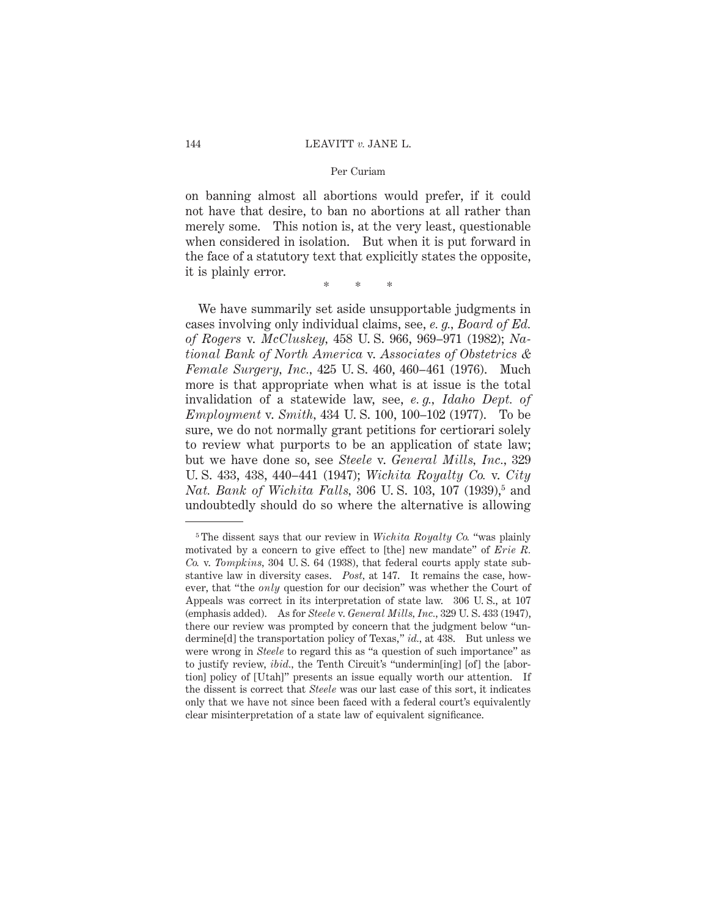on banning almost all abortions would prefer, if it could not have that desire, to ban no abortions at all rather than merely some. This notion is, at the very least, questionable when considered in isolation. But when it is put forward in the face of a statutory text that explicitly states the opposite, it is plainly error.

\*\*\*

We have summarily set aside unsupportable judgments in cases involving only individual claims, see, *e. g., Board of Ed. of Rogers* v. *McCluskey,* 458 U. S. 966, 969–971 (1982); *National Bank of North America* v. *Associates of Obstetrics & Female Surgery, Inc.,* 425 U. S. 460, 460–461 (1976). Much more is that appropriate when what is at issue is the total invalidation of a statewide law, see, *e. g., Idaho Dept. of Employment* v. *Smith,* 434 U. S. 100, 100–102 (1977). To be sure, we do not normally grant petitions for certiorari solely to review what purports to be an application of state law; but we have done so, see *Steele* v. *General Mills, Inc.,* 329 U. S. 433, 438, 440–441 (1947); *Wichita Royalty Co.* v. *City Nat. Bank of Wichita Falls,* 306 U.S. 103, 107 (1939),<sup>5</sup> and undoubtedly should do so where the alternative is allowing

<sup>5</sup> The dissent says that our review in *Wichita Royalty Co.* "was plainly motivated by a concern to give effect to [the] new mandate" of *Erie R. Co.* v. *Tompkins,* 304 U. S. 64 (1938), that federal courts apply state substantive law in diversity cases. *Post,* at 147. It remains the case, however, that "the *only* question for our decision" was whether the Court of Appeals was correct in its interpretation of state law. 306 U. S., at 107 (emphasis added). As for *Steele* v. *General Mills, Inc.,* 329 U. S. 433 (1947), there our review was prompted by concern that the judgment below "undermine[d] the transportation policy of Texas," *id.,* at 438. But unless we were wrong in *Steele* to regard this as "a question of such importance" as to justify review, *ibid.,* the Tenth Circuit's "undermin[ing] [of] the [abortion] policy of [Utah]" presents an issue equally worth our attention. If the dissent is correct that *Steele* was our last case of this sort, it indicates only that we have not since been faced with a federal court's equivalently clear misinterpretation of a state law of equivalent significance.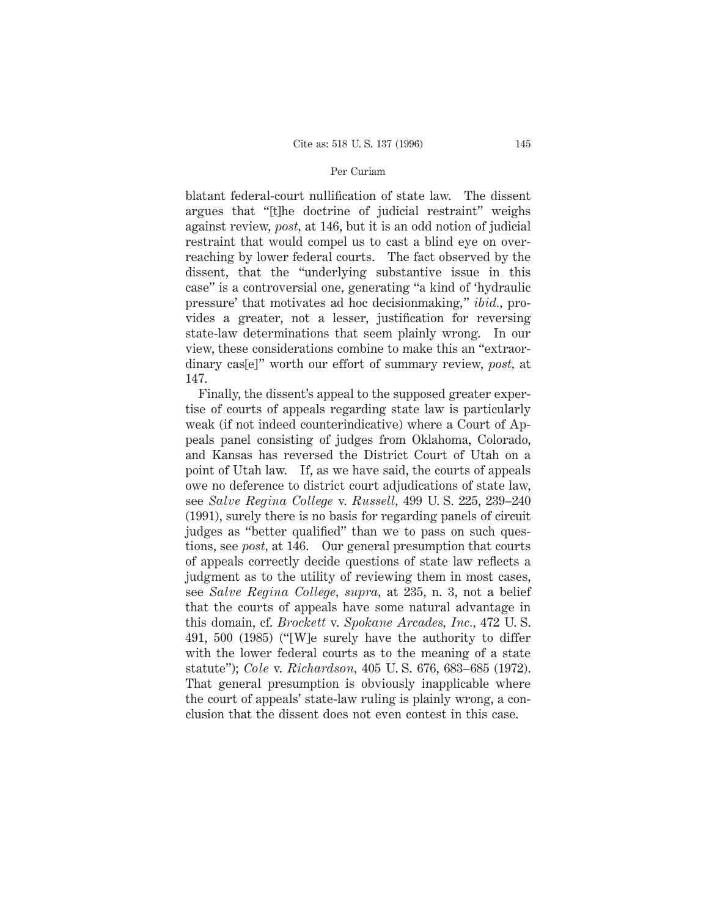blatant federal-court nullification of state law. The dissent argues that "[t]he doctrine of judicial restraint" weighs against review, *post,* at 146, but it is an odd notion of judicial restraint that would compel us to cast a blind eye on overreaching by lower federal courts. The fact observed by the dissent, that the "underlying substantive issue in this case" is a controversial one, generating "a kind of 'hydraulic pressure' that motivates ad hoc decisionmaking," *ibid.,* provides a greater, not a lesser, justification for reversing state-law determinations that seem plainly wrong. In our view, these considerations combine to make this an "extraordinary cas[e]" worth our effort of summary review, *post,* at 147.

Finally, the dissent's appeal to the supposed greater expertise of courts of appeals regarding state law is particularly weak (if not indeed counterindicative) where a Court of Appeals panel consisting of judges from Oklahoma, Colorado, and Kansas has reversed the District Court of Utah on a point of Utah law. If, as we have said, the courts of appeals owe no deference to district court adjudications of state law, see *Salve Regina College* v. *Russell,* 499 U. S. 225, 239–240 (1991), surely there is no basis for regarding panels of circuit judges as "better qualified" than we to pass on such questions, see *post,* at 146. Our general presumption that courts of appeals correctly decide questions of state law reflects a judgment as to the utility of reviewing them in most cases, see *Salve Regina College, supra,* at 235, n. 3, not a belief that the courts of appeals have some natural advantage in this domain, cf. *Brockett* v. *Spokane Arcades, Inc.,* 472 U. S. 491, 500 (1985) ("[W]e surely have the authority to differ with the lower federal courts as to the meaning of a state statute"); *Cole* v. *Richardson,* 405 U. S. 676, 683–685 (1972). That general presumption is obviously inapplicable where the court of appeals' state-law ruling is plainly wrong, a conclusion that the dissent does not even contest in this case.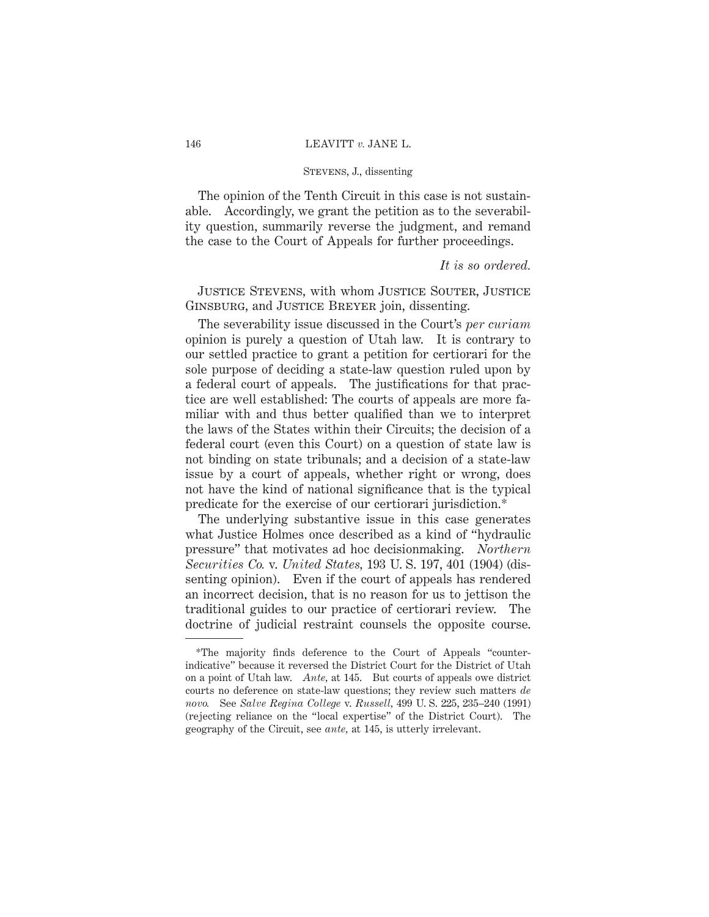#### 146 LEAVITT *v.* JANE L.

### Stevens, J., dissenting

The opinion of the Tenth Circuit in this case is not sustainable. Accordingly, we grant the petition as to the severability question, summarily reverse the judgment, and remand the case to the Court of Appeals for further proceedings.

### *It is so ordered.*

Justice Stevens, with whom Justice Souter, Justice Ginsburg, and Justice Breyer join, dissenting.

The severability issue discussed in the Court's *per curiam* opinion is purely a question of Utah law. It is contrary to our settled practice to grant a petition for certiorari for the sole purpose of deciding a state-law question ruled upon by a federal court of appeals. The justifications for that practice are well established: The courts of appeals are more familiar with and thus better qualified than we to interpret the laws of the States within their Circuits; the decision of a federal court (even this Court) on a question of state law is not binding on state tribunals; and a decision of a state-law issue by a court of appeals, whether right or wrong, does not have the kind of national significance that is the typical predicate for the exercise of our certiorari jurisdiction.\*

The underlying substantive issue in this case generates what Justice Holmes once described as a kind of "hydraulic pressure" that motivates ad hoc decisionmaking. *Northern Securities Co.* v. *United States,* 193 U. S. 197, 401 (1904) (dissenting opinion). Even if the court of appeals has rendered an incorrect decision, that is no reason for us to jettison the traditional guides to our practice of certiorari review. The doctrine of judicial restraint counsels the opposite course.

<sup>\*</sup>The majority finds deference to the Court of Appeals "counterindicative" because it reversed the District Court for the District of Utah on a point of Utah law. *Ante,* at 145. But courts of appeals owe district courts no deference on state-law questions; they review such matters *de novo.* See *Salve Regina College* v. *Russell,* 499 U. S. 225, 235–240 (1991) (rejecting reliance on the "local expertise" of the District Court). The geography of the Circuit, see *ante,* at 145, is utterly irrelevant.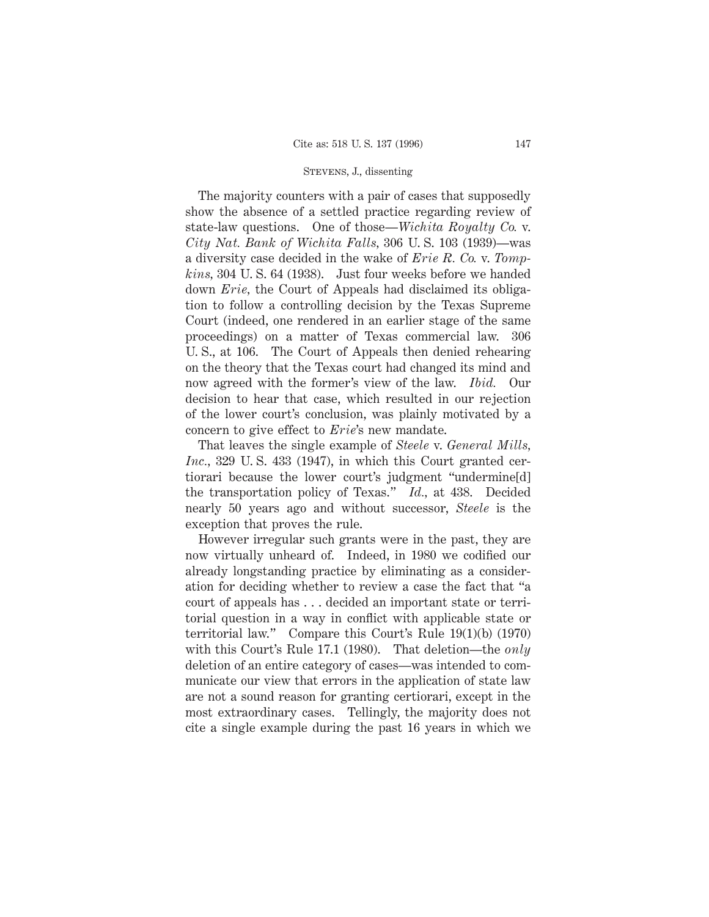#### Stevens, J., dissenting

The majority counters with a pair of cases that supposedly show the absence of a settled practice regarding review of state-law questions. One of those—*Wichita Royalty Co.* v. *City Nat. Bank of Wichita Falls,* 306 U. S. 103 (1939)—was a diversity case decided in the wake of *Erie R. Co.* v. *Tompkins,* 304 U. S. 64 (1938). Just four weeks before we handed down *Erie,* the Court of Appeals had disclaimed its obligation to follow a controlling decision by the Texas Supreme Court (indeed, one rendered in an earlier stage of the same proceedings) on a matter of Texas commercial law. 306 U. S., at 106. The Court of Appeals then denied rehearing on the theory that the Texas court had changed its mind and now agreed with the former's view of the law. *Ibid.* Our decision to hear that case, which resulted in our rejection of the lower court's conclusion, was plainly motivated by a concern to give effect to *Erie*'s new mandate.

That leaves the single example of *Steele* v. *General Mills, Inc.,* 329 U. S. 433 (1947), in which this Court granted certiorari because the lower court's judgment "undermine[d] the transportation policy of Texas." *Id.,* at 438. Decided nearly 50 years ago and without successor, *Steele* is the exception that proves the rule.

However irregular such grants were in the past, they are now virtually unheard of. Indeed, in 1980 we codified our already longstanding practice by eliminating as a consideration for deciding whether to review a case the fact that "a court of appeals has . . . decided an important state or territorial question in a way in conflict with applicable state or territorial law." Compare this Court's Rule 19(1)(b) (1970) with this Court's Rule 17.1 (1980). That deletion—the *only* deletion of an entire category of cases—was intended to communicate our view that errors in the application of state law are not a sound reason for granting certiorari, except in the most extraordinary cases. Tellingly, the majority does not cite a single example during the past 16 years in which we